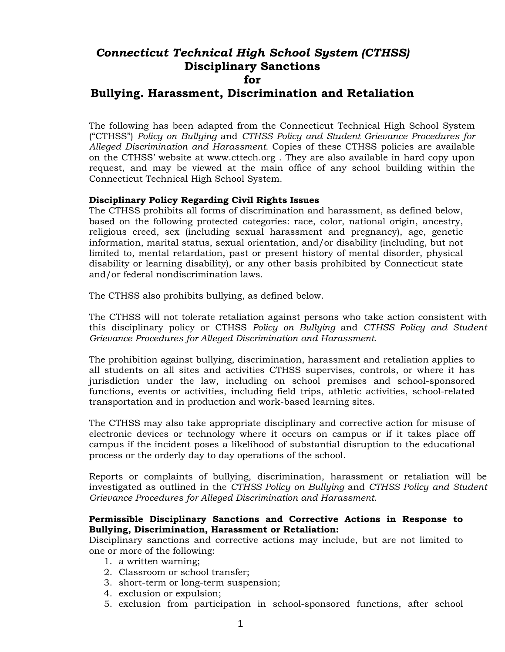# *Connecticut Technical High School System (CTHSS)* **Disciplinary Sanctions for Bullying. Harassment, Discrimination and Retaliation**

The following has been adapted from the Connecticut Technical High School System ("CTHSS") *Policy on Bullying* and *CTHSS Policy and Student Grievance Procedures for Alleged Discrimination and Harassment.* Copies of these CTHSS policies are available on the CTHSS' website at www.cttech.org . They are also available in hard copy upon request, and may be viewed at the main office of any school building within the Connecticut Technical High School System.

# **Disciplinary Policy Regarding Civil Rights Issues**

The CTHSS prohibits all forms of discrimination and harassment, as defined below, based on the following protected categories: race, color, national origin, ancestry, religious creed, sex (including sexual harassment and pregnancy), age, genetic information, marital status, sexual orientation, and/or disability (including, but not limited to, mental retardation, past or present history of mental disorder, physical disability or learning disability), or any other basis prohibited by Connecticut state and/or federal nondiscrimination laws.

The CTHSS also prohibits bullying, as defined below.

The CTHSS will not tolerate retaliation against persons who take action consistent with this disciplinary policy or CTHSS *Policy on Bullying* and *CTHSS Policy and Student Grievance Procedures for Alleged Discrimination and Harassment*.

The prohibition against bullying, discrimination, harassment and retaliation applies to all students on all sites and activities CTHSS supervises, controls, or where it has jurisdiction under the law, including on school premises and school-sponsored functions, events or activities, including field trips, athletic activities, school-related transportation and in production and work-based learning sites.

The CTHSS may also take appropriate disciplinary and corrective action for misuse of electronic devices or technology where it occurs on campus or if it takes place off campus if the incident poses a likelihood of substantial disruption to the educational process or the orderly day to day operations of the school.

Reports or complaints of bullying, discrimination, harassment or retaliation will be investigated as outlined in the *CTHSS Policy on Bullying* and *CTHSS Policy and Student Grievance Procedures for Alleged Discrimination and Harassment*.

## **Permissible Disciplinary Sanctions and Corrective Actions in Response to Bullying, Discrimination, Harassment or Retaliation:**

Disciplinary sanctions and corrective actions may include, but are not limited to one or more of the following:

- 1. a written warning;
- 2. Classroom or school transfer;
- 3. short-term or long-term suspension;
- 4. exclusion or expulsion;
- 5. exclusion from participation in school-sponsored functions, after school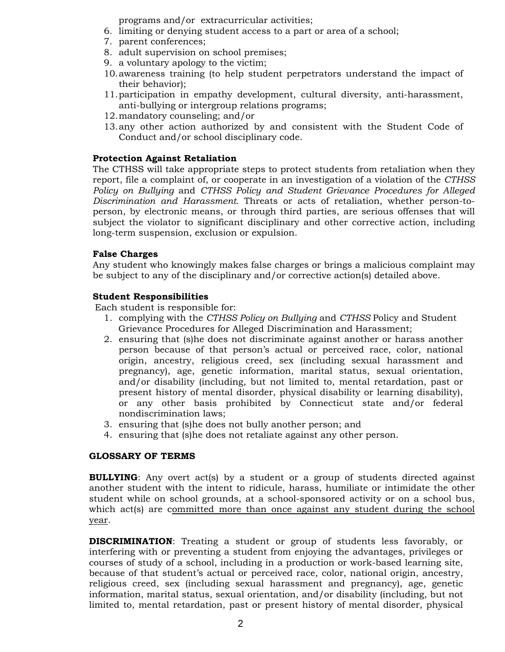programs and/or extracurricular activities;

- 6. limiting or denying student access to a part or area of a school;
- 7. parent conferences;
- 8. adult supervision on school premises;
- 9. a voluntary apology to the victim;
- 10.awareness training (to help student perpetrators understand the impact of their behavior);
- 11.participation in empathy development, cultural diversity, anti-harassment, anti-bullying or intergroup relations programs;
- 12.mandatory counseling; and/or
- 13.any other action authorized by and consistent with the Student Code of Conduct and/or school disciplinary code.

## **Protection Against Retaliation**

The CTHSS will take appropriate steps to protect students from retaliation when they report, file a complaint of, or cooperate in an investigation of a violation of the *CTHSS Policy on Bullying* and *CTHSS Policy and Student Grievance Procedures for Alleged Discrimination and Harassment.* Threats or acts of retaliation, whether person-toperson, by electronic means, or through third parties, are serious offenses that will subject the violator to significant disciplinary and other corrective action, including long-term suspension, exclusion or expulsion.

# **False Charges**

Any student who knowingly makes false charges or brings a malicious complaint may be subject to any of the disciplinary and/or corrective action(s) detailed above.

## **Student Responsibilities**

Each student is responsible for:

- 1. complying with the *CTHSS Policy on Bullying* and *CTHSS* Policy and Student Grievance Procedures for Alleged Discrimination and Harassment;
- 2. ensuring that (s)he does not discriminate against another or harass another person because of that person's actual or perceived race, color, national origin, ancestry, religious creed, sex (including sexual harassment and pregnancy), age, genetic information, marital status, sexual orientation, and/or disability (including, but not limited to, mental retardation, past or present history of mental disorder, physical disability or learning disability), or any other basis prohibited by Connecticut state and/or federal nondiscrimination laws;
- 3. ensuring that (s)he does not bully another person; and
- 4. ensuring that (s)he does not retaliate against any other person.

## **GLOSSARY OF TERMS**

**BULLYING:** Any overt acts by a student or a group of students directed against another student with the intent to ridicule, harass, humiliate or intimidate the other student while on school grounds, at a school-sponsored activity or on a school bus, which act(s) are committed more than once against any student during the school year.

**DISCRIMINATION**: Treating a student or group of students less favorably, or interfering with or preventing a student from enjoying the advantages, privileges or courses of study of a school, including in a production or work-based learning site, because of that student's actual or perceived race, color, national origin, ancestry, religious creed, sex (including sexual harassment and pregnancy), age, genetic information, marital status, sexual orientation, and/or disability (including, but not limited to, mental retardation, past or present history of mental disorder, physical